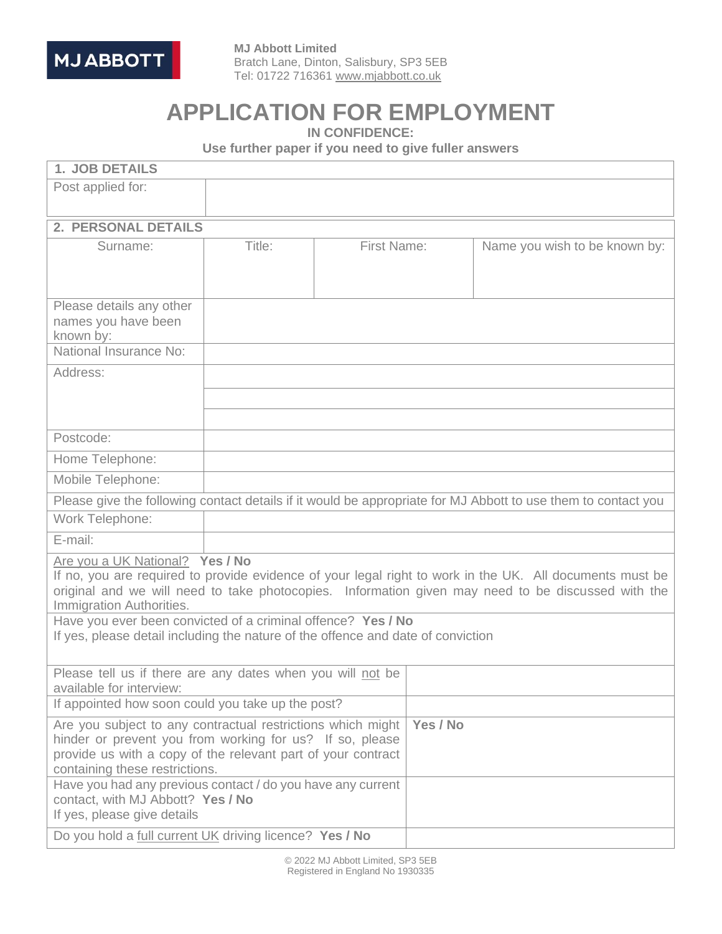

 **MJ Abbott Limited** Bratch Lane, Dinton, Salisbury, SP3 5EB Tel: 01722 716361 [www.mjabbott.co.uk](http://www.mjabbott.co.uk/)

# **APPLICATION FOR EMPLOYMENT**

**IN CONFIDENCE:**

**Use further paper if you need to give fuller answers**

| <b>1. JOB DETAILS</b>                                                                                                                                                                                                                                                                                                                                                                                                             |        |             |          |                                                                                                               |  |
|-----------------------------------------------------------------------------------------------------------------------------------------------------------------------------------------------------------------------------------------------------------------------------------------------------------------------------------------------------------------------------------------------------------------------------------|--------|-------------|----------|---------------------------------------------------------------------------------------------------------------|--|
| Post applied for:                                                                                                                                                                                                                                                                                                                                                                                                                 |        |             |          |                                                                                                               |  |
| <b>2. PERSONAL DETAILS</b>                                                                                                                                                                                                                                                                                                                                                                                                        |        |             |          |                                                                                                               |  |
| Surname:                                                                                                                                                                                                                                                                                                                                                                                                                          | Title: | First Name: |          | Name you wish to be known by:                                                                                 |  |
| Please details any other<br>names you have been<br>known by:<br>National Insurance No:                                                                                                                                                                                                                                                                                                                                            |        |             |          |                                                                                                               |  |
| Address:                                                                                                                                                                                                                                                                                                                                                                                                                          |        |             |          |                                                                                                               |  |
|                                                                                                                                                                                                                                                                                                                                                                                                                                   |        |             |          |                                                                                                               |  |
| Postcode:                                                                                                                                                                                                                                                                                                                                                                                                                         |        |             |          |                                                                                                               |  |
| Home Telephone:                                                                                                                                                                                                                                                                                                                                                                                                                   |        |             |          |                                                                                                               |  |
| Mobile Telephone:                                                                                                                                                                                                                                                                                                                                                                                                                 |        |             |          |                                                                                                               |  |
|                                                                                                                                                                                                                                                                                                                                                                                                                                   |        |             |          | Please give the following contact details if it would be appropriate for MJ Abbott to use them to contact you |  |
| Work Telephone:                                                                                                                                                                                                                                                                                                                                                                                                                   |        |             |          |                                                                                                               |  |
| E-mail:                                                                                                                                                                                                                                                                                                                                                                                                                           |        |             |          |                                                                                                               |  |
| Are you a UK National? Yes / No<br>If no, you are required to provide evidence of your legal right to work in the UK. All documents must be<br>original and we will need to take photocopies. Information given may need to be discussed with the<br>Immigration Authorities.<br>Have you ever been convicted of a criminal offence? Yes / No<br>If yes, please detail including the nature of the offence and date of conviction |        |             |          |                                                                                                               |  |
| Please tell us if there are any dates when you will not be<br>available for interview:                                                                                                                                                                                                                                                                                                                                            |        |             |          |                                                                                                               |  |
| If appointed how soon could you take up the post?                                                                                                                                                                                                                                                                                                                                                                                 |        |             |          |                                                                                                               |  |
| Are you subject to any contractual restrictions which might<br>hinder or prevent you from working for us? If so, please<br>provide us with a copy of the relevant part of your contract<br>containing these restrictions.<br>Have you had any previous contact / do you have any current                                                                                                                                          |        |             | Yes / No |                                                                                                               |  |
| contact, with MJ Abbott? Yes / No<br>If yes, please give details                                                                                                                                                                                                                                                                                                                                                                  |        |             |          |                                                                                                               |  |
| Do you hold a full current UK driving licence? Yes / No                                                                                                                                                                                                                                                                                                                                                                           |        |             |          |                                                                                                               |  |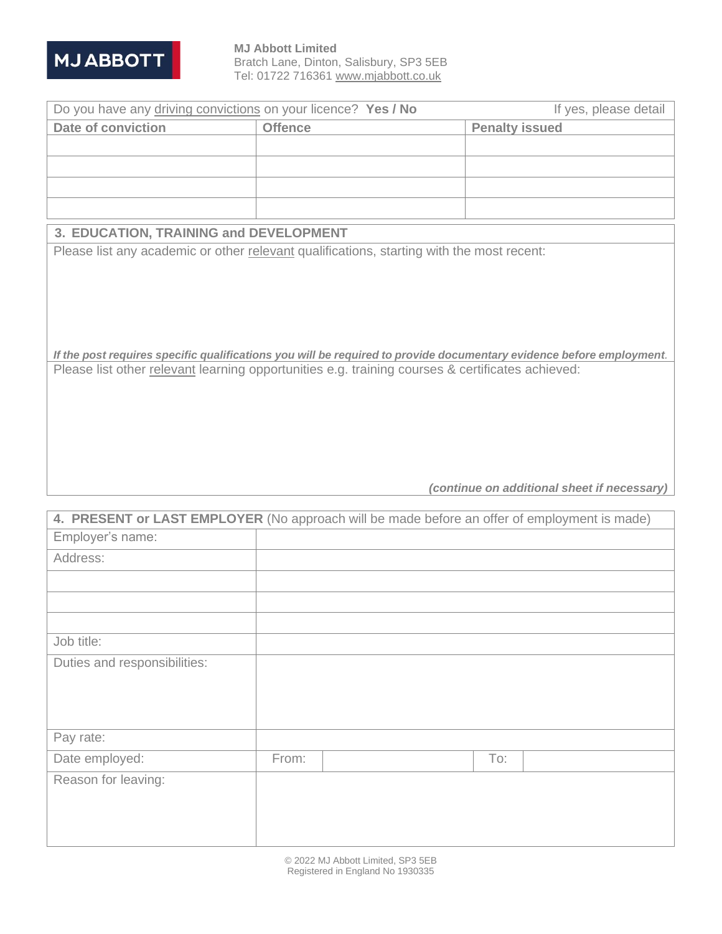

 **MJ Abbott Limited** Bratch Lane, Dinton, Salisbury, SP3 5EB Tel: 01722 716361 [www.mjabbott.co.uk](http://www.mjabbott.co.uk/)

| Do you have any driving convictions on your licence? Yes / No | If yes, please detail |                       |  |
|---------------------------------------------------------------|-----------------------|-----------------------|--|
| Date of conviction                                            | <b>Offence</b>        | <b>Penalty issued</b> |  |
|                                                               |                       |                       |  |
|                                                               |                       |                       |  |
|                                                               |                       |                       |  |
|                                                               |                       |                       |  |

#### **3. EDUCATION, TRAINING and DEVELOPMENT**

Please list any academic or other relevant qualifications, starting with the most recent:

*If the post requires specific qualifications you will be required to provide documentary evidence before employment.* Please list other relevant learning opportunities e.g. training courses & certificates achieved:

*(continue on additional sheet if necessary)*

| 4. PRESENT or LAST EMPLOYER (No approach will be made before an offer of employment is made) |       |  |     |  |
|----------------------------------------------------------------------------------------------|-------|--|-----|--|
| Employer's name:                                                                             |       |  |     |  |
| Address:                                                                                     |       |  |     |  |
|                                                                                              |       |  |     |  |
|                                                                                              |       |  |     |  |
|                                                                                              |       |  |     |  |
| Job title:                                                                                   |       |  |     |  |
| Duties and responsibilities:                                                                 |       |  |     |  |
|                                                                                              |       |  |     |  |
|                                                                                              |       |  |     |  |
|                                                                                              |       |  |     |  |
| Pay rate:                                                                                    |       |  |     |  |
| Date employed:                                                                               | From: |  | To: |  |
| Reason for leaving:                                                                          |       |  |     |  |
|                                                                                              |       |  |     |  |
|                                                                                              |       |  |     |  |
|                                                                                              |       |  |     |  |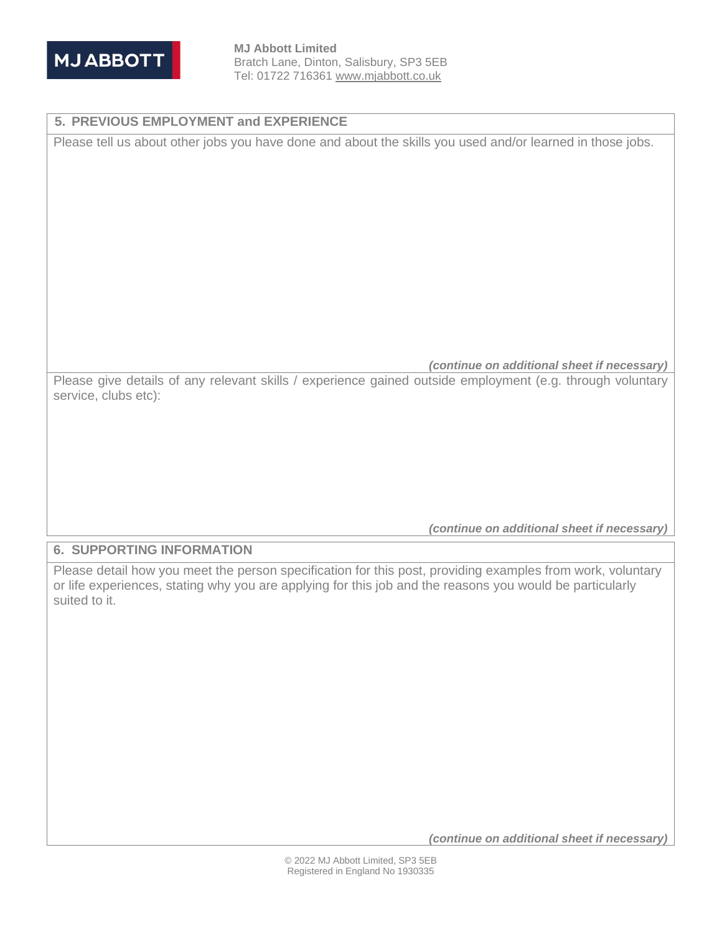

 **MJ Abbott Limited** Bratch Lane, Dinton, Salisbury, SP3 5EB Tel: 01722 716361 [www.mjabbott.co.uk](http://www.mjabbott.co.uk/)

### **5. PREVIOUS EMPLOYMENT and EXPERIENCE**

Please tell us about other jobs you have done and about the skills you used and/or learned in those jobs.

*(continue on additional sheet if necessary)*

Please give details of any relevant skills / experience gained outside employment (e.g. through voluntary service, clubs etc):

*(continue on additional sheet if necessary)*

### **6. SUPPORTING INFORMATION**

Please detail how you meet the person specification for this post, providing examples from work, voluntary or life experiences, stating why you are applying for this job and the reasons you would be particularly suited to it.

*(continue on additional sheet if necessary)*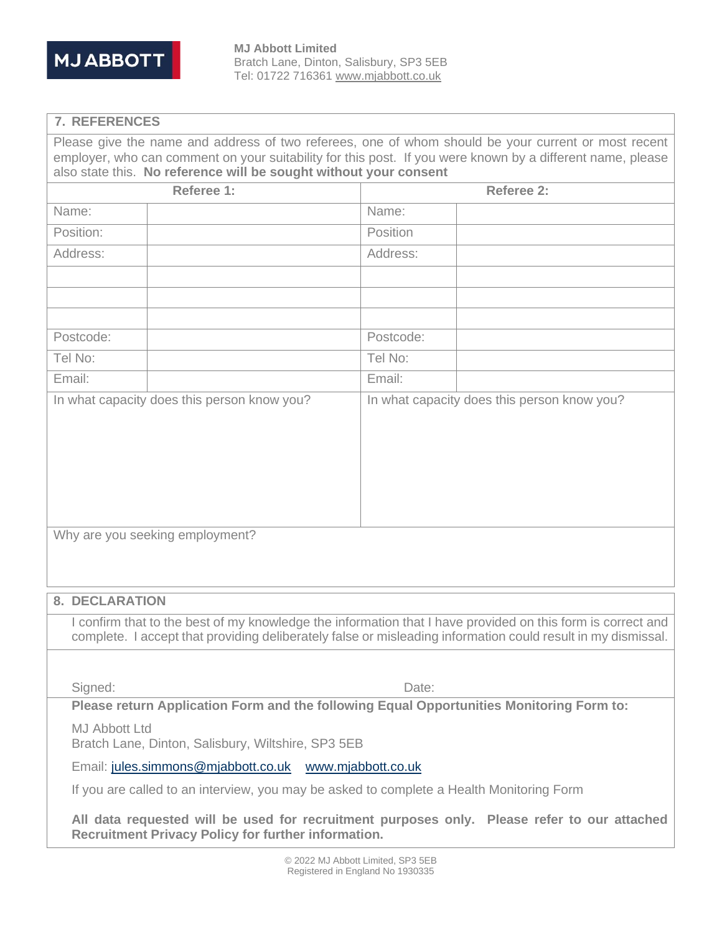

#### **7. REFERENCES**

Please give the name and address of two referees, one of whom should be your current or most recent employer, who can comment on your suitability for this post. If you were known by a different name, please also state this. **No reference will be sought without your consent**

| Referee 1:                                  |                                 | Referee 2: |                                                                                                                                                                                                                             |  |
|---------------------------------------------|---------------------------------|------------|-----------------------------------------------------------------------------------------------------------------------------------------------------------------------------------------------------------------------------|--|
| Name:                                       |                                 | Name:      |                                                                                                                                                                                                                             |  |
| Position:                                   |                                 | Position   |                                                                                                                                                                                                                             |  |
| Address:                                    |                                 | Address:   |                                                                                                                                                                                                                             |  |
|                                             |                                 |            |                                                                                                                                                                                                                             |  |
|                                             |                                 |            |                                                                                                                                                                                                                             |  |
|                                             |                                 |            |                                                                                                                                                                                                                             |  |
| Postcode:                                   |                                 | Postcode:  |                                                                                                                                                                                                                             |  |
| Tel No:                                     |                                 | Tel No:    |                                                                                                                                                                                                                             |  |
| Email:                                      |                                 | Email:     |                                                                                                                                                                                                                             |  |
| In what capacity does this person know you? |                                 |            | In what capacity does this person know you?                                                                                                                                                                                 |  |
|                                             |                                 |            |                                                                                                                                                                                                                             |  |
|                                             |                                 |            |                                                                                                                                                                                                                             |  |
|                                             |                                 |            |                                                                                                                                                                                                                             |  |
|                                             |                                 |            |                                                                                                                                                                                                                             |  |
|                                             |                                 |            |                                                                                                                                                                                                                             |  |
|                                             | Why are you seeking employment? |            |                                                                                                                                                                                                                             |  |
|                                             |                                 |            |                                                                                                                                                                                                                             |  |
|                                             |                                 |            |                                                                                                                                                                                                                             |  |
| <b>8. DECLARATION</b>                       |                                 |            |                                                                                                                                                                                                                             |  |
|                                             |                                 |            | I confirm that to the best of my knowledge the information that I have provided on this form is correct and<br>complete. I accept that providing deliberately false or misleading information could result in my dismissal. |  |

Signed: Date:

**Please return Application Form and the following Equal Opportunities Monitoring Form to:**

MJ Abbott Ltd

Bratch Lane, Dinton, Salisbury, Wiltshire, SP3 5EB

Email: [jules.simmons@mjabbott.co.uk](mailto:jules.simmons@mjabbott.co.uk) [www.mjabbott.co.uk](http://www.mjabbott.co.uk/)

If you are called to an interview, you may be asked to complete a Health Monitoring Form

**All data requested will be used for recruitment purposes only. Please refer to our attached Recruitment Privacy Policy for further information.**